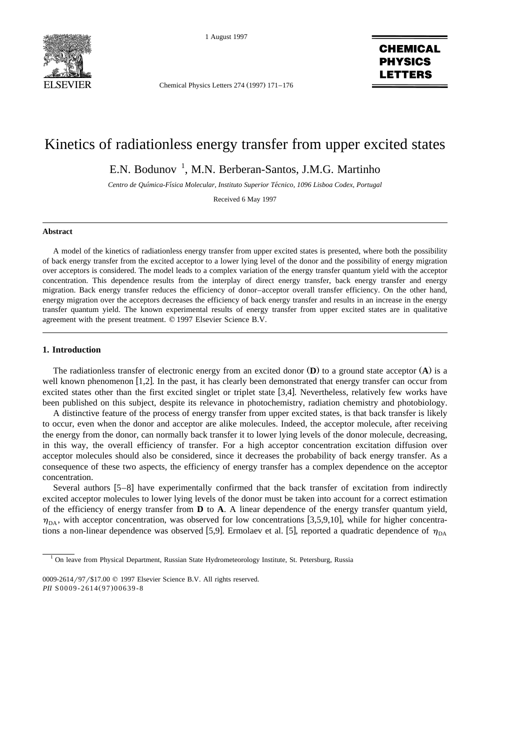

1 August 1997

Chemical Physics Letters 274 (1997) 171-176

**CHEMICAL PHYSICS LETTERS** 

# Kinetics of radiationless energy transfer from upper excited states

E.N. Bodunov<sup>1</sup>, M.N. Berberan-Santos, J.M.G. Martinho

*Centro de Quımica-Fısica Molecular, Instituto Superior Tecnico, 1096 Lisboa Codex, Portugal* ´´ ´

Received 6 May 1997

#### **Abstract**

A model of the kinetics of radiationless energy transfer from upper excited states is presented, where both the possibility of back energy transfer from the excited acceptor to a lower lying level of the donor and the possibility of energy migration over acceptors is considered. The model leads to a complex variation of the energy transfer quantum yield with the acceptor concentration. This dependence results from the interplay of direct energy transfer, back energy transfer and energy migration. Back energy transfer reduces the efficiency of donor–acceptor overall transfer efficiency. On the other hand, energy migration over the acceptors decreases the efficiency of back energy transfer and results in an increase in the energy transfer quantum yield. The known experimental results of energy transfer from upper excited states are in qualitative agreement with the present treatment.  $© 1997$  Elsevier Science B.V.

## **1. Introduction**

The radiationless transfer of electronic energy from an excited donor  $(D)$  to a ground state acceptor  $(A)$  is a well known phenomenon  $[1,2]$ . In the past, it has clearly been demonstrated that energy transfer can occur from excited states other than the first excited singlet or triplet state [3,4]. Nevertheless, relatively few works have been published on this subject, despite its relevance in photochemistry, radiation chemistry and photobiology.

A distinctive feature of the process of energy transfer from upper excited states, is that back transfer is likely to occur, even when the donor and acceptor are alike molecules. Indeed, the acceptor molecule, after receiving the energy from the donor, can normally back transfer it to lower lying levels of the donor molecule, decreasing, in this way, the overall efficiency of transfer. For a high acceptor concentration excitation diffusion over acceptor molecules should also be considered, since it decreases the probability of back energy transfer. As a consequence of these two aspects, the efficiency of energy transfer has a complex dependence on the acceptor concentration.

Several authors  $[5-8]$  have experimentally confirmed that the back transfer of excitation from indirectly excited acceptor molecules to lower lying levels of the donor must be taken into account for a correct estimation of the efficiency of energy transfer from **D** to **A**. A linear dependence of the energy transfer quantum yield,  $\eta_{\text{DA}}$ , with acceptor concentration, was observed for low concentrations [3,5,9,10], while for higher concentrations a non-linear dependence was observed [5,9]. Ermolaev et al. [5], reported a quadratic dependence of  $\eta_{DA}$ 

 $1$  On leave from Physical Department, Russian State Hydrometeorology Institute, St. Petersburg, Russia

<sup>0009-2614/97/\$17.00 © 1997</sup> Elsevier Science B.V. All rights reserved. *PII* S0009-2614(97)00639-8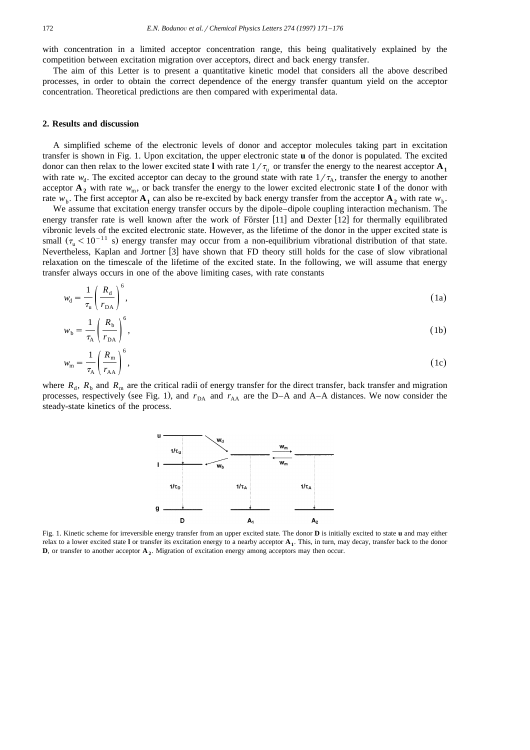with concentration in a limited acceptor concentration range, this being qualitatively explained by the competition between excitation migration over acceptors, direct and back energy transfer.

The aim of this Letter is to present a quantitative kinetic model that considers all the above described processes, in order to obtain the correct dependence of the energy transfer quantum yield on the acceptor concentration. Theoretical predictions are then compared with experimental data.

#### **2. Results and discussion**

A simplified scheme of the electronic levels of donor and acceptor molecules taking part in excitation transfer is shown in Fig. 1. Upon excitation, the upper electronic state **u** of the donor is populated. The excited donor can then relax to the lower excited state **l** with rate  $1/\tau_{\rm u}$  or transfer the energy to the nearest acceptor  $\mathbf{A}_1$ with rate  $w_d$ . The excited acceptor can decay to the ground state with rate  $1/\tau_A$ , transfer the energy to another acceptor  $\mathbf{A}_2$  with rate  $w_m$ , or back transfer the energy to the lower excited electronic state **l** of the donor with rate *w*<sub>b</sub>. The first acceptor  $\mathbf{A}_1$  can also be re-excited by back energy transfer from the acceptor  $\mathbf{A}_2$  with rate  $w_p$ .

We assume that excitation energy transfer occurs by the dipole–dipole coupling interaction mechanism. The energy transfer rate is well known after the work of Förster  $[11]$  and Dexter  $[12]$  for thermally equilibrated vibronic levels of the excited electronic state. However, as the lifetime of the donor in the upper excited state is small  $(\tau_{\rm g} < 10^{-11}$  s) energy transfer may occur from a non-equilibrium vibrational distribution of that state. Nevertheless, Kaplan and Jortner [3] have shown that FD theory still holds for the case of slow vibrational relaxation on the timescale of the lifetime of the excited state. In the following, we will assume that energy transfer always occurs in one of the above limiting cases, with rate constants

$$
w_{\rm d} = \frac{1}{\tau_{\rm u}} \left( \frac{R_{\rm d}}{r_{\rm DA}} \right)^6, \tag{1a}
$$

$$
w_{b} = \frac{1}{\tau_{A}} \left(\frac{R_{b}}{r_{DA}}\right)^{6},\tag{1b}
$$

$$
w_{\rm m} = \frac{1}{\tau_{\rm A}} \left( \frac{R_{\rm m}}{r_{\rm AA}} \right)^6, \tag{1c}
$$

where  $R_d$ ,  $R_h$  and  $R_m$  are the critical radii of energy transfer for the direct transfer, back transfer and migration processes, respectively (see Fig. 1), and  $r_{DA}$  and  $r_{AA}$  are the D–A and A–A distances. We now consider the steady-state kinetics of the process.



Fig. 1. Kinetic scheme for irreversible energy transfer from an upper excited state. The donor **D** is initially excited to state **u** and may either relax to a lower excited state **l** or transfer its excitation energy to a nearby acceptor  $A_1$ . This, in turn, may decay, transfer back to the donor **D**, or transfer to another acceptor **A** . Migration of excitation energy among acceptors may then occur. **<sup>2</sup>**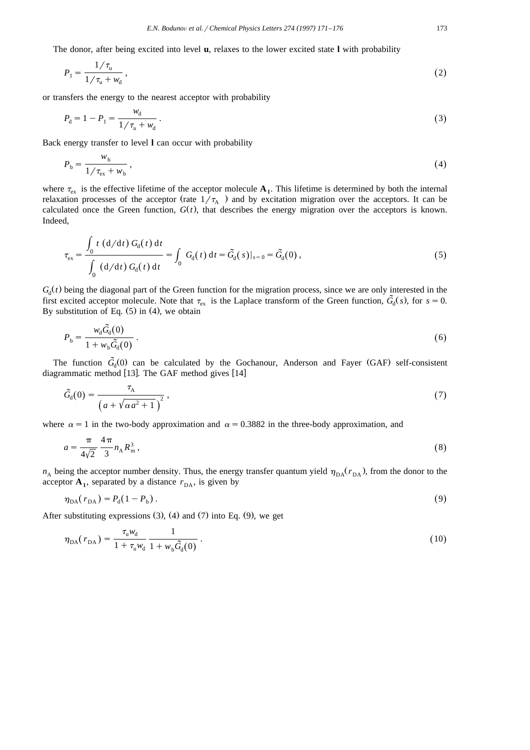The donor, after being excited into level **u**, relaxes to the lower excited state **l** with probability

$$
P_1 = \frac{1/\tau_{\rm u}}{1/\tau_{\rm u} + w_{\rm d}}\,,\tag{2}
$$

or transfers the energy to the nearest acceptor with probability

$$
P_{\rm d} = 1 - P_1 = \frac{w_{\rm d}}{1/\tau_{\rm u} + w_{\rm d}}\,. \tag{3}
$$

Back energy transfer to level **l** can occur with probability

$$
P_{\rm b} = \frac{w_{\rm b}}{1/\tau_{\rm ex} + w_{\rm b}}\,,\tag{4}
$$

where  $\tau_{\text{ex}}$  is the effective lifetime of the acceptor molecule  $\mathbf{A}_1$ . This lifetime is determined by both the internal relaxation processes of the acceptor (rate  $1/\tau_A$ ) and by excitation migration over the acceptors. It can be calculated once the Green function,  $G(t)$ , that describes the energy migration over the acceptors is known. Indeed,

$$
\tau_{\rm ex} = \frac{\int_0^t t (d/dt) G_d(t) dt}{\int_0^t (d/dt) G_d(t) dt} = \int_0^t G_d(t) dt = \tilde{G}_d(s)|_{s=0} = \tilde{G}_d(0), \qquad (5)
$$

 $G_d(t)$  being the diagonal part of the Green function for the migration process, since we are only interested in the first excited acceptor molecule. Note that  $\tau_{ex}$  is the Laplace transform of the Green function,  $\tilde{G}_d(s)$ , for  $s=0$ . By substitution of Eq.  $(5)$  in  $(4)$ , we obtain

$$
P_{b} = \frac{w_{d}\tilde{G}_{d}(0)}{1 + w_{b}\tilde{G}_{d}(0)}.
$$
\n(6)

The function  $\tilde{G}_d(0)$  can be calculated by the Gochanour, Anderson and Fayer (GAF) self-consistent diagrammatic method [13]. The GAF method gives [14]

$$
\tilde{G}_d(0) = \frac{\tau_A}{\left(a + \sqrt{\alpha a^2 + 1}\right)^2},\tag{7}
$$

where  $\alpha = 1$  in the two-body approximation and  $\alpha = 0.3882$  in the three-body approximation, and

$$
a = \frac{\pi}{4\sqrt{2}} \frac{4\pi}{3} n_{A} R_{m}^{3} , \qquad (8)
$$

 $n_A$  being the acceptor number density. Thus, the energy transfer quantum yield  $\eta_{DA}(r_{DA})$ , from the donor to the acceptor  $A_1$ , separated by a distance  $r_{DA}$ , is given by

$$
\eta_{DA}(r_{DA}) = P_d(1 - P_b). \tag{9}
$$

After substituting expressions  $(3)$ ,  $(4)$  and  $(7)$  into Eq.  $(9)$ , we get

$$
\eta_{DA}(r_{DA}) = \frac{\tau_{u} w_{d}}{1 + \tau_{u} w_{d}} \frac{1}{1 + w_{b} \tilde{G}_{d}(0)}.
$$
\n(10)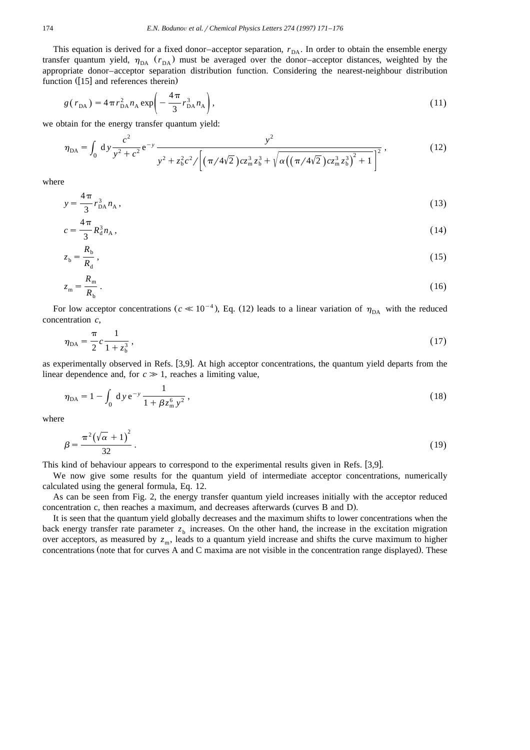This equation is derived for a fixed donor–acceptor separation,  $r_{DA}$ . In order to obtain the ensemble energy transfer quantum yield,  $\eta_{DA}$  ( $r_{DA}$ ) must be averaged over the donor–acceptor distances, weighted by the appropriate donor–acceptor separation distribution function. Considering the nearest-neighbour distribution function  $(15]$  and references therein)

$$
g(r_{\text{DA}}) = 4\pi r_{\text{DA}}^2 n_{\text{A}} \exp\left(-\frac{4\pi}{3} r_{\text{DA}}^3 n_{\text{A}}\right),\tag{11}
$$

we obtain for the energy transfer quantum yield:

$$
\eta_{DA} = \int_0^{\infty} dy \frac{c^2}{y^2 + c^2} e^{-y} \frac{y^2}{y^2 + z_b^2 c^2 / \left[ \left( \frac{\pi}{4\sqrt{2}} \right) c z_m^3 z_b^3 + \sqrt{\alpha \left( \left( \frac{\pi}{4\sqrt{2}} \right) c z_m^3 z_b^3 \right)^2 + 1} \right]^2},
$$
(12)

where

$$
y = \frac{4\pi}{3} r_{DA}^3 n_A,
$$
 (13)

$$
c = \frac{4\pi}{3} R_a^3 n_A \,,\tag{14}
$$

$$
z_{\rm b} = \frac{R_{\rm b}}{R_{\rm d}}\,,\tag{15}
$$

$$
z_{\rm m} = \frac{R_{\rm m}}{R_{\rm b}}\,. \tag{16}
$$

For low acceptor concentrations ( $c \ll 10^{-4}$ ), Eq. (12) leads to a linear variation of  $\eta_{DA}$  with the reduced concentration *c*,

$$
\eta_{\rm DA} = \frac{\pi}{2} c \frac{1}{1 + z_{\rm b}^3} \,,\tag{17}
$$

as experimentally observed in Refs. [3,9]. At high acceptor concentrations, the quantum yield departs from the linear dependence and, for  $c \gg 1$ , reaches a limiting value,

$$
\eta_{DA} = 1 - \int_0^{\frac{\pi}{2}} dy \, e^{-y} \frac{1}{1 + \beta z_m^6 y^2} \,, \tag{18}
$$

where

$$
\beta = \frac{\pi^2(\sqrt{\alpha} + 1)^2}{32} \tag{19}
$$

This kind of behaviour appears to correspond to the experimental results given in Refs.  $[3,9]$ .

We now give some results for the quantum yield of intermediate acceptor concentrations, numerically calculated using the general formula, Eq. 12.

As can be seen from Fig. 2, the energy transfer quantum yield increases initially with the acceptor reduced concentration c, then reaches a maximum, and decreases afterwards (curves B and D).

It is seen that the quantum yield globally decreases and the maximum shifts to lower concentrations when the back energy transfer rate parameter  $z<sub>b</sub>$  increases. On the other hand, the increase in the excitation migration over acceptors, as measured by  $z<sub>m</sub>$ , leads to a quantum yield increase and shifts the curve maximum to higher concentrations (note that for curves A and C maxima are not visible in the concentration range displayed). These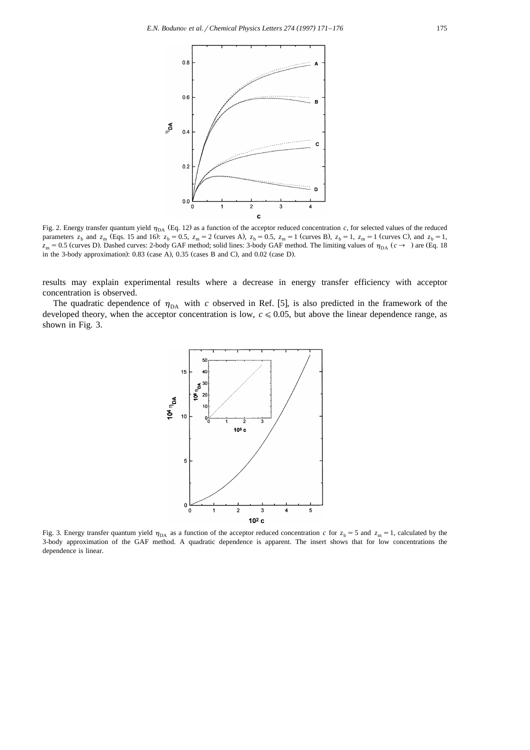

Fig. 2. Energy transfer quantum yield  $\eta_{DA}$  (Eq. 12) as a function of the acceptor reduced concentration *c*, for selected values of the reduced parameters  $z_b$  and  $z_m$  (Eqs. 15 and 16):  $z_b = 0.5$ ,  $z_m = 2$  (curves A),  $z_b = 0.5$ ,  $z_m = 1$  (curves B),  $z_b = 1$ ,  $z_m = 1$  (curves C), and  $z_b = 1$ ,  $z_m = 0.5$  (curves D). Dashed curves: 2-body GAF method; solid lines: 3-body GAF method. The limiting values of  $\eta_{DA}$  ( $c \rightarrow$  ) are (Eq. 18 in the 3-body approximation):  $0.83$  (case A),  $0.35$  (cases B and C), and  $0.02$  (case D).

results may explain experimental results where a decrease in energy transfer efficiency with acceptor concentration is observed.

The quadratic dependence of  $\eta_{DA}$  with *c* observed in Ref. [5], is also predicted in the framework of the developed theory, when the acceptor concentration is low,  $c \le 0.05$ , but above the linear dependence range, as shown in Fig. 3.



Fig. 3. Energy transfer quantum yield  $\eta_{DA}$  as a function of the acceptor reduced concentration *c* for  $z_b = 5$  and  $z_m = 1$ , calculated by the 3-body approximation of the GAF method. A quadratic dependence is apparent. The insert shows that for low concentrations the dependence is linear.